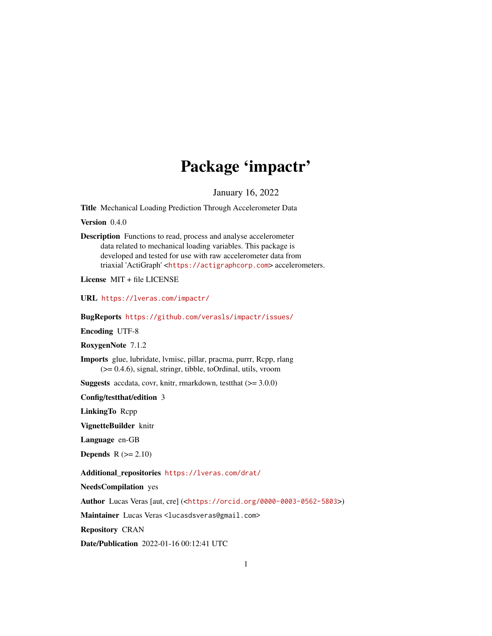## Package 'impactr'

January 16, 2022

Title Mechanical Loading Prediction Through Accelerometer Data

Version 0.4.0

Description Functions to read, process and analyse accelerometer data related to mechanical loading variables. This package is developed and tested for use with raw accelerometer data from triaxial 'ActiGraph' <<https://actigraphcorp.com>> accelerometers.

License MIT + file LICENSE

URL <https://lveras.com/impactr/>

BugReports <https://github.com/verasls/impactr/issues/>

Encoding UTF-8

RoxygenNote 7.1.2

Imports glue, lubridate, lvmisc, pillar, pracma, purrr, Rcpp, rlang (>= 0.4.6), signal, stringr, tibble, toOrdinal, utils, vroom

**Suggests** accdata, covr, knitr, rmarkdown, test that  $(>= 3.0.0)$ 

Config/testthat/edition 3

LinkingTo Rcpp

VignetteBuilder knitr

Language en-GB

**Depends**  $R (= 2.10)$ 

Additional\_repositories <https://lveras.com/drat/>

NeedsCompilation yes

Author Lucas Veras [aut, cre] (<<https://orcid.org/0000-0003-0562-5803>>)

Maintainer Lucas Veras <lucasdsveras@gmail.com>

Repository CRAN

Date/Publication 2022-01-16 00:12:41 UTC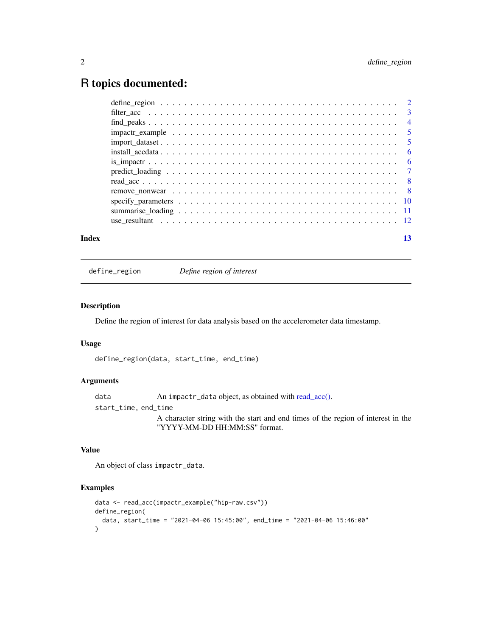### <span id="page-1-0"></span>R topics documented:

| Index | 13 |
|-------|----|

define\_region *Define region of interest*

#### Description

Define the region of interest for data analysis based on the accelerometer data timestamp.

#### Usage

define\_region(data, start\_time, end\_time)

#### Arguments

data An impactr\_data object, as obtained with [read\\_acc\(\).](#page-7-1) start\_time, end\_time A character string with the start and end times of the region of interest in the "YYYY-MM-DD HH:MM:SS" format.

#### Value

An object of class impactr\_data.

```
data <- read_acc(impactr_example("hip-raw.csv"))
define_region(
  data, start_time = "2021-04-06 15:45:00", end_time = "2021-04-06 15:46:00"
)
```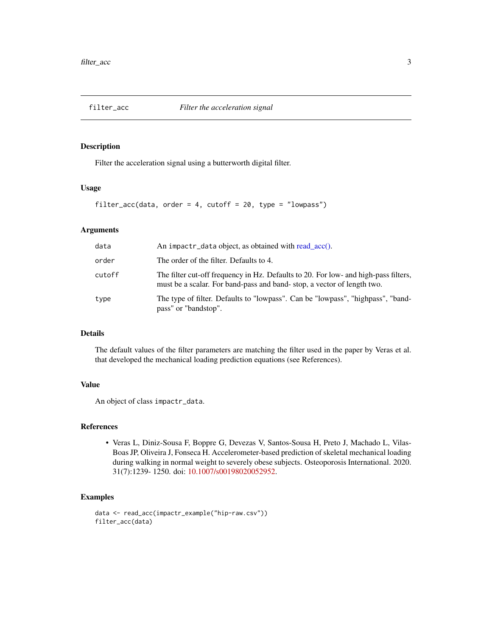<span id="page-2-0"></span>

Filter the acceleration signal using a butterworth digital filter.

#### Usage

```
filter_acc(data, order = 4, cutoff = 20, type = "lowpass")
```
#### Arguments

| data   | An impactr_data object, as obtained with read_acc().                                                                                                          |
|--------|---------------------------------------------------------------------------------------------------------------------------------------------------------------|
| order  | The order of the filter. Defaults to 4.                                                                                                                       |
| cutoff | The filter cut-off frequency in Hz. Defaults to 20. For low- and high-pass filters,<br>must be a scalar. For band-pass and band-stop, a vector of length two. |
| type   | The type of filter. Defaults to "lowpass". Can be "lowpass", "highpass", "band-<br>pass" or "bandstop".                                                       |

#### Details

The default values of the filter parameters are matching the filter used in the paper by Veras et al. that developed the mechanical loading prediction equations (see References).

#### Value

An object of class impactr\_data.

#### References

• Veras L, Diniz-Sousa F, Boppre G, Devezas V, Santos-Sousa H, Preto J, Machado L, Vilas-Boas JP, Oliveira J, Fonseca H. Accelerometer-based prediction of skeletal mechanical loading during walking in normal weight to severely obese subjects. Osteoporosis International. 2020. 31(7):1239- 1250. doi: [10.1007/s00198020052952.](https://doi.org/10.1007/s00198-020-05295-2)

```
data <- read_acc(impactr_example("hip-raw.csv"))
filter_acc(data)
```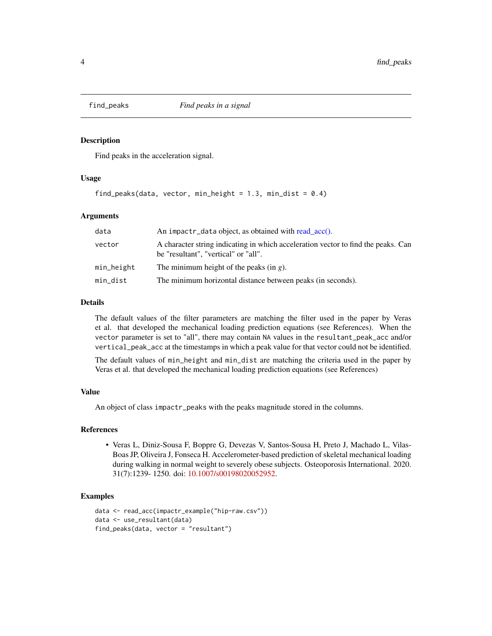<span id="page-3-1"></span><span id="page-3-0"></span>

Find peaks in the acceleration signal.

#### Usage

```
find_peaks(data, vector, min_height = 1.3, min_dist = 0.4)
```
#### Arguments

| data       | An impactr_data object, as obtained with read_acc().                                                                      |
|------------|---------------------------------------------------------------------------------------------------------------------------|
| vector     | A character string indicating in which acceleration vector to find the peaks. Can<br>be "resultant", "vertical" or "all". |
| min_height | The minimum height of the peaks (in $g$ ).                                                                                |
| min_dist   | The minimum horizontal distance between peaks (in seconds).                                                               |

#### Details

The default values of the filter parameters are matching the filter used in the paper by Veras et al. that developed the mechanical loading prediction equations (see References). When the vector parameter is set to "all", there may contain NA values in the resultant\_peak\_acc and/or vertical\_peak\_acc at the timestamps in which a peak value for that vector could not be identified.

The default values of min\_height and min\_dist are matching the criteria used in the paper by Veras et al. that developed the mechanical loading prediction equations (see References)

#### Value

An object of class impactr\_peaks with the peaks magnitude stored in the columns.

#### References

• Veras L, Diniz-Sousa F, Boppre G, Devezas V, Santos-Sousa H, Preto J, Machado L, Vilas-Boas JP, Oliveira J, Fonseca H. Accelerometer-based prediction of skeletal mechanical loading during walking in normal weight to severely obese subjects. Osteoporosis International. 2020. 31(7):1239- 1250. doi: [10.1007/s00198020052952.](https://doi.org/10.1007/s00198-020-05295-2)

```
data <- read_acc(impactr_example("hip-raw.csv"))
data <- use_resultant(data)
find_peaks(data, vector = "resultant")
```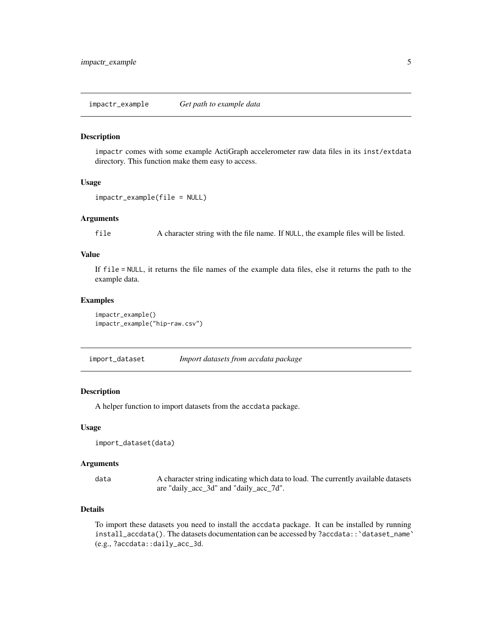<span id="page-4-0"></span>impactr comes with some example ActiGraph accelerometer raw data files in its inst/extdata directory. This function make them easy to access.

#### Usage

```
impactr_example(file = NULL)
```
#### Arguments

file A character string with the file name. If NULL, the example files will be listed.

#### Value

If file = NULL, it returns the file names of the example data files, else it returns the path to the example data.

#### Examples

```
impactr_example()
impactr_example("hip-raw.csv")
```
import\_dataset *Import datasets from accdata package*

#### Description

A helper function to import datasets from the accdata package.

#### Usage

import\_dataset(data)

#### Arguments

data A character string indicating which data to load. The currently available datasets are "daily\_acc\_3d" and "daily\_acc\_7d".

#### Details

To import these datasets you need to install the accdata package. It can be installed by running install\_accdata(). The datasets documentation can be accessed by ?accdata::`dataset\_name` (e.g., ?accdata::daily\_acc\_3d.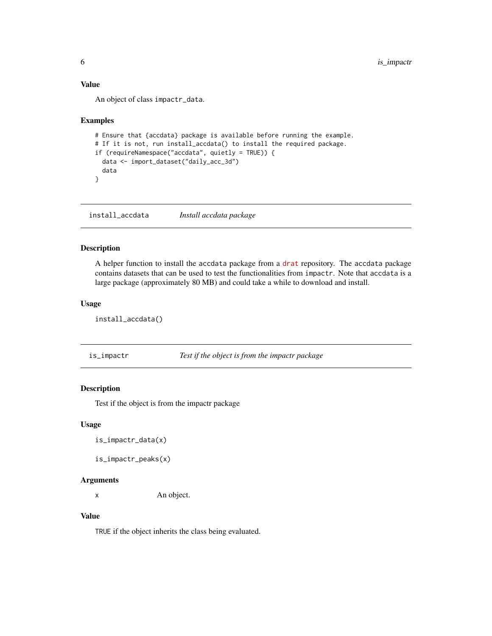#### <span id="page-5-0"></span>Value

An object of class impactr\_data.

#### Examples

```
# Ensure that {accdata} package is available before running the example.
# If it is not, run install_accdata() to install the required package.
if (requireNamespace("accdata", quietly = TRUE)) {
 data <- import_dataset("daily_acc_3d")
 data
}
```
install\_accdata *Install accdata package*

#### Description

A helper function to install the accdata package from a [drat](https://lveras.com/drat/) repository. The accdata package contains datasets that can be used to test the functionalities from impactr. Note that accdata is a large package (approximately 80 MB) and could take a while to download and install.

#### Usage

install\_accdata()

is\_impactr *Test if the object is from the impactr package*

#### Description

Test if the object is from the impactr package

#### Usage

is\_impactr\_data(x)

is\_impactr\_peaks(x)

#### Arguments

x An object.

#### Value

TRUE if the object inherits the class being evaluated.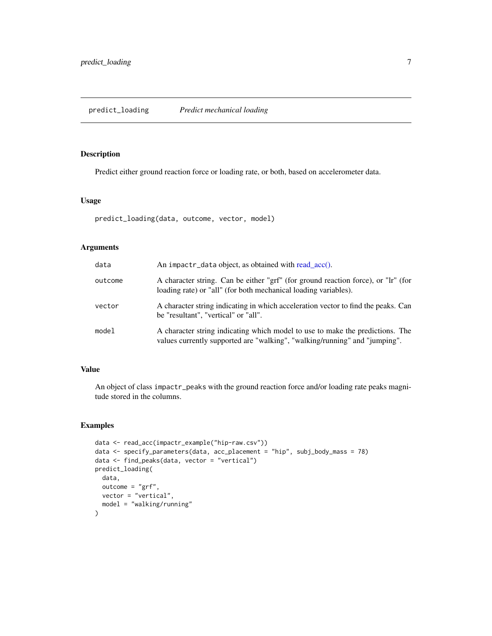<span id="page-6-1"></span><span id="page-6-0"></span>Predict either ground reaction force or loading rate, or both, based on accelerometer data.

#### Usage

```
predict_loading(data, outcome, vector, model)
```
#### Arguments

| data    | An impactr_data object, as obtained with read $\text{acc}()$ .                                                                                              |
|---------|-------------------------------------------------------------------------------------------------------------------------------------------------------------|
| outcome | A character string. Can be either "grf" (for ground reaction force), or "lr" (for<br>loading rate) or "all" (for both mechanical loading variables).        |
| vector  | A character string indicating in which acceleration vector to find the peaks. Can<br>be "resultant". "vertical" or "all".                                   |
| model   | A character string indicating which model to use to make the predictions. The<br>values currently supported are "walking", "walking/running" and "jumping". |

#### Value

An object of class impactr\_peaks with the ground reaction force and/or loading rate peaks magnitude stored in the columns.

```
data <- read_acc(impactr_example("hip-raw.csv"))
data <- specify_parameters(data, acc_placement = "hip", subj_body_mass = 78)
data <- find_peaks(data, vector = "vertical")
predict_loading(
  data,
  outcome = "grf",
  vector = "vertical",
  model = "walking/running"
)
```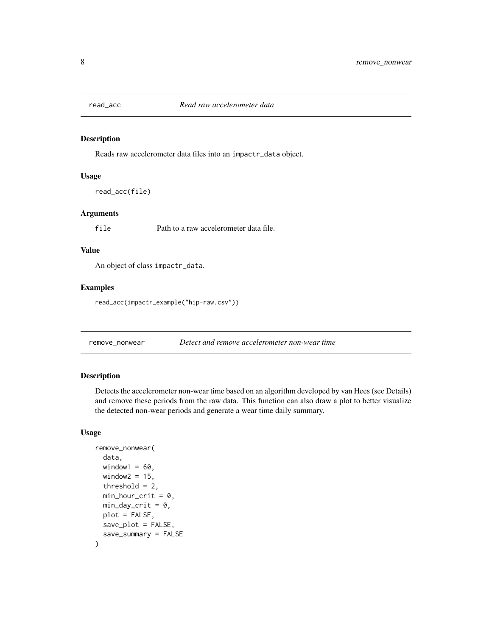<span id="page-7-1"></span><span id="page-7-0"></span>

Reads raw accelerometer data files into an impactr\_data object.

#### Usage

read\_acc(file)

#### Arguments

file Path to a raw accelerometer data file.

#### Value

An object of class impactr\_data.

#### Examples

read\_acc(impactr\_example("hip-raw.csv"))

remove\_nonwear *Detect and remove accelerometer non-wear time*

#### Description

Detects the accelerometer non-wear time based on an algorithm developed by van Hees (see Details) and remove these periods from the raw data. This function can also draw a plot to better visualize the detected non-wear periods and generate a wear time daily summary.

#### Usage

```
remove_nonwear(
  data,
 window1 = 60,
 window2 = 15,
  threshold = 2,
 min\_hour\_crit = 0.
 min\_day\_crit = 0,
 plot = FALSE,
 save_plot = FALSE,
  save_summary = FALSE
)
```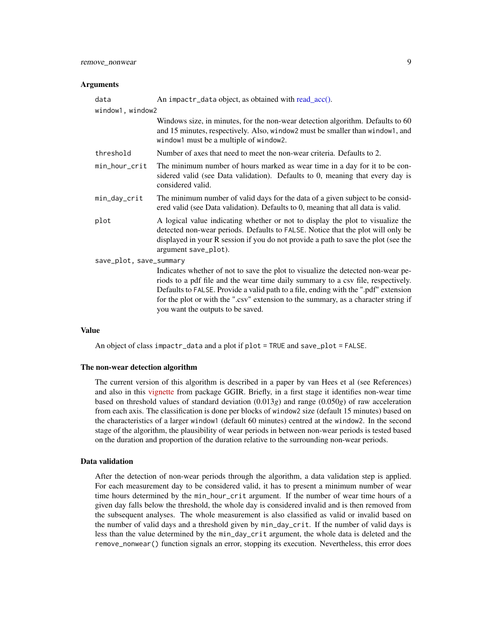#### <span id="page-8-0"></span>Arguments

| data                    | An impactr_data object, as obtained with read_acc().                                                                                                                                                                                                                                                                                                                                   |  |
|-------------------------|----------------------------------------------------------------------------------------------------------------------------------------------------------------------------------------------------------------------------------------------------------------------------------------------------------------------------------------------------------------------------------------|--|
| window1, window2        |                                                                                                                                                                                                                                                                                                                                                                                        |  |
|                         | Windows size, in minutes, for the non-wear detection algorithm. Defaults to 60<br>and 15 minutes, respectively. Also, window 2 must be smaller than window 1, and<br>window1 must be a multiple of window2.                                                                                                                                                                            |  |
| threshold               | Number of axes that need to meet the non-wear criteria. Defaults to 2.                                                                                                                                                                                                                                                                                                                 |  |
| min_hour_crit           | The minimum number of hours marked as wear time in a day for it to be con-<br>sidered valid (see Data validation). Defaults to 0, meaning that every day is<br>considered valid.                                                                                                                                                                                                       |  |
| min_day_crit            | The minimum number of valid days for the data of a given subject to be consid-<br>ered valid (see Data validation). Defaults to 0, meaning that all data is valid.                                                                                                                                                                                                                     |  |
| plot                    | A logical value indicating whether or not to display the plot to visualize the<br>detected non-wear periods. Defaults to FALSE. Notice that the plot will only be<br>displayed in your R session if you do not provide a path to save the plot (see the<br>argument save_plot).                                                                                                        |  |
| save_plot, save_summary |                                                                                                                                                                                                                                                                                                                                                                                        |  |
|                         | Indicates whether of not to save the plot to visualize the detected non-wear pe-<br>riods to a pdf file and the wear time daily summary to a csv file, respectively.<br>Defaults to FALSE. Provide a valid path to a file, ending with the ".pdf" extension<br>for the plot or with the ".csv" extension to the summary, as a character string if<br>you want the outputs to be saved. |  |

#### Value

An object of class impactr\_data and a plot if plot = TRUE and save\_plot = FALSE.

#### The non-wear detection algorithm

The current version of this algorithm is described in a paper by van Hees et al (see References) and also in this [vignette](https://CRAN.R-project.org/package=GGIR/vignettes/GGIR.html#53_Non-wear_detection) from package GGIR. Briefly, in a first stage it identifies non-wear time based on threshold values of standard deviation (0.013*g*) and range (0.050*g*) of raw acceleration from each axis. The classification is done per blocks of window2 size (default 15 minutes) based on the characteristics of a larger window1 (default 60 minutes) centred at the window2. In the second stage of the algorithm, the plausibility of wear periods in between non-wear periods is tested based on the duration and proportion of the duration relative to the surrounding non-wear periods.

#### Data validation

After the detection of non-wear periods through the algorithm, a data validation step is applied. For each measurement day to be considered valid, it has to present a minimum number of wear time hours determined by the min\_hour\_crit argument. If the number of wear time hours of a given day falls below the threshold, the whole day is considered invalid and is then removed from the subsequent analyses. The whole measurement is also classified as valid or invalid based on the number of valid days and a threshold given by min\_day\_crit. If the number of valid days is less than the value determined by the min\_day\_crit argument, the whole data is deleted and the remove\_nonwear() function signals an error, stopping its execution. Nevertheless, this error does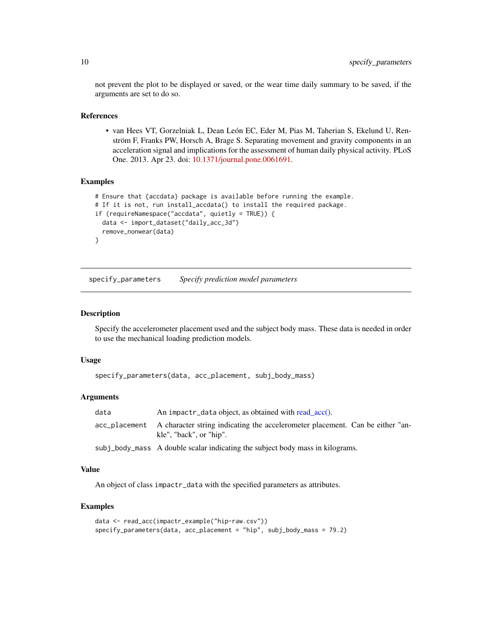not prevent the plot to be displayed or saved, or the wear time daily summary to be saved, if the arguments are set to do so.

#### References

• van Hees VT, Gorzelniak L, Dean León EC, Eder M, Pias M, Taherian S, Ekelund U, Renström F, Franks PW, Horsch A, Brage S. Separating movement and gravity components in an acceleration signal and implications for the assessment of human daily physical activity. PLoS One. 2013. Apr 23. doi: [10.1371/journal.pone.0061691.](https://doi.org/10.1371/journal.pone.0061691)

#### Examples

```
# Ensure that {accdata} package is available before running the example.
# If it is not, run install_accdata() to install the required package.
if (requireNamespace("accdata", quietly = TRUE)) {
 data <- import_dataset("daily_acc_3d")
 remove_nonwear(data)
}
```
specify\_parameters *Specify prediction model parameters*

#### Description

Specify the accelerometer placement used and the subject body mass. These data is needed in order to use the mechanical loading prediction models.

#### Usage

```
specify_parameters(data, acc_placement, subj_body_mass)
```
#### Arguments

| data | An impactr_data object, as obtained with read acc().                                                                   |
|------|------------------------------------------------------------------------------------------------------------------------|
|      | acc_placement A character string indicating the accelerometer placement. Can be either "an-<br>kle", "back", or "hip". |
|      |                                                                                                                        |

subj\_body\_mass A double scalar indicating the subject body mass in kilograms.

#### Value

An object of class impactr\_data with the specified parameters as attributes.

```
data <- read_acc(impactr_example("hip-raw.csv"))
specify_parameters(data, acc_placement = "hip", subj_body_mass = 79.2)
```
<span id="page-9-0"></span>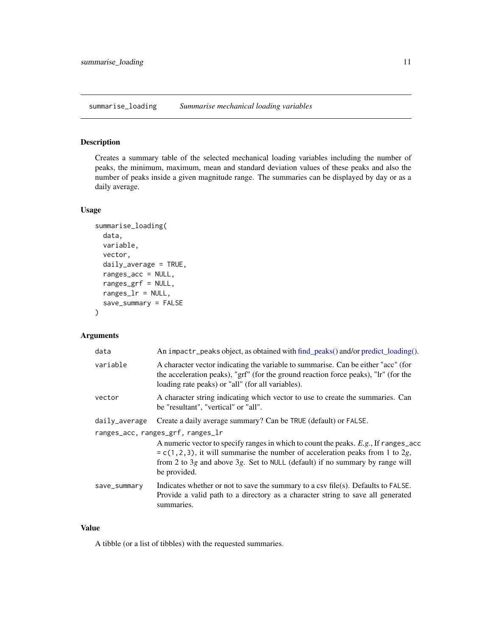<span id="page-10-0"></span>summarise\_loading *Summarise mechanical loading variables*

#### Description

Creates a summary table of the selected mechanical loading variables including the number of peaks, the minimum, maximum, mean and standard deviation values of these peaks and also the number of peaks inside a given magnitude range. The summaries can be displayed by day or as a daily average.

#### Usage

```
summarise_loading(
 data,
 variable,
  vector,
 daily_average = TRUE,
  ranges_acc = NULL,
  ranges_grf = NULL,
  ranges_lr = NULL,
  save_summary = FALSE
)
```
#### Arguments

| data          | An impactr_peaks object, as obtained with find_peaks() and/or predict_loading().                                                                                                                                                                                                                                |
|---------------|-----------------------------------------------------------------------------------------------------------------------------------------------------------------------------------------------------------------------------------------------------------------------------------------------------------------|
| variable      | A character vector indicating the variable to summarise. Can be either "acc" (for<br>the acceleration peaks), "grf" (for the ground reaction force peaks), "lr" (for the<br>loading rate peaks) or "all" (for all variables).                                                                                   |
| vector        | A character string indicating which vector to use to create the summaries. Can<br>be "resultant", "vertical" or "all".                                                                                                                                                                                          |
| daily_average | Create a daily average summary? Can be TRUE (default) or FALSE.                                                                                                                                                                                                                                                 |
|               | ranges_acc, ranges_grf, ranges_lr<br>A numeric vector to specify ranges in which to count the peaks. $E.g.,$ If ranges_acc<br>$= c(1, 2, 3)$ , it will summarise the number of acceleration peaks from 1 to 2g,<br>from 2 to 3g and above 3g. Set to NULL (default) if no summary by range will<br>be provided. |
| save_summary  | Indicates whether or not to save the summary to a csv file(s). Defaults to $FALSE$ .<br>Provide a valid path to a directory as a character string to save all generated<br>summaries.                                                                                                                           |

#### Value

A tibble (or a list of tibbles) with the requested summaries.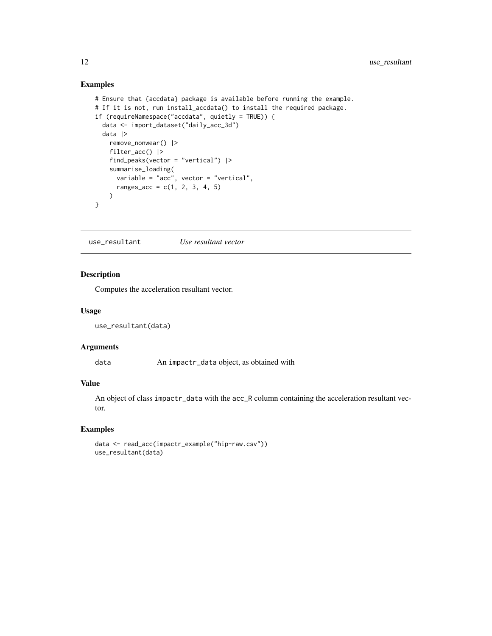#### Examples

```
# Ensure that {accdata} package is available before running the example.
# If it is not, run install_accdata() to install the required package.
if (requireNamespace("accdata", quietly = TRUE)) {
  data <- import_dataset("daily_acc_3d")
  data |>
   remove_nonwear() |>
   filter_acc() |>
   find_peaks(vector = "vertical") |>
    summarise_loading(
     variable = "acc", vector = "vertical",
      ranges_{acc} = c(1, 2, 3, 4, 5))
}
```
use\_resultant *Use resultant vector*

#### Description

Computes the acceleration resultant vector.

#### Usage

```
use_resultant(data)
```
#### Arguments

data An impactr\_data object, as obtained with

#### Value

An object of class impactr\_data with the acc\_R column containing the acceleration resultant vector.

```
data <- read_acc(impactr_example("hip-raw.csv"))
use_resultant(data)
```
<span id="page-11-0"></span>